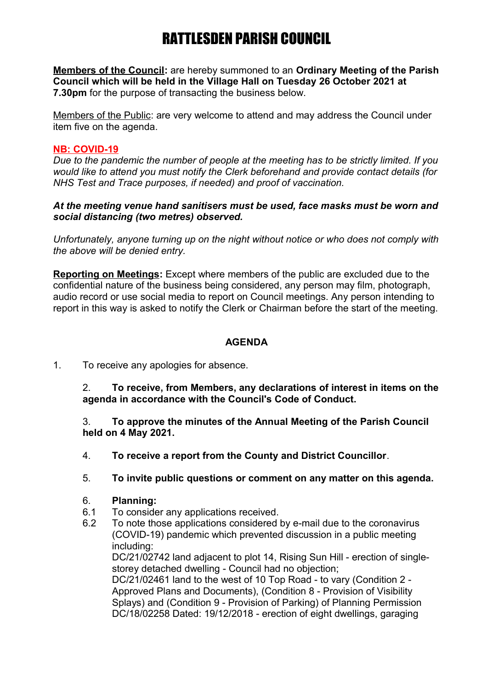**Members of the Council:** are hereby summoned to an **Ordinary Meeting of the Parish Council which will be held in the Village Hall on Tuesday 26 October 2021 at 7.30pm** for the purpose of transacting the business below.

Members of the Public: are very welcome to attend and may address the Council under item five on the agenda.

## **NB: COVID-19**

*Due to the pandemic the number of people at the meeting has to be strictly limited. If you would like to attend you must notify the Clerk beforehand and provide contact details (for NHS Test and Trace purposes, if needed) and proof of vaccination.* 

#### *At the meeting venue hand sanitisers must be used, face masks must be worn and social distancing (two metres) observed.*

*Unfortunately, anyone turning up on the night without notice or who does not comply with the above will be denied entry.*

**Reporting on Meetings:** Except where members of the public are excluded due to the confidential nature of the business being considered, any person may film, photograph, audio record or use social media to report on Council meetings. Any person intending to report in this way is asked to notify the Clerk or Chairman before the start of the meeting.

# **AGENDA**

1. To receive any apologies for absence.

2. **To receive, from Members, any declarations of interest in items on the agenda in accordance with the Council's Code of Conduct.**

3. **To approve the minutes of the Annual Meeting of the Parish Council held on 4 May 2021.**

- 4. **To receive a report from the County and District Councillor**.
- 5. **To invite public questions or comment on any matter on this agenda.**
- 6. **Planning:**
- 6.1 To consider any applications received.
- 6.2 To note those applications considered by e-mail due to the coronavirus (COVID-19) pandemic which prevented discussion in a public meeting including:

DC/21/02742 land adjacent to plot 14, Rising Sun Hill - erection of singlestorey detached dwelling - Council had no objection;

DC/21/02461 land to the west of 10 Top Road - to vary (Condition 2 - Approved Plans and Documents), (Condition 8 - Provision of Visibility Splays) and (Condition 9 - Provision of Parking) of Planning Permission DC/18/02258 Dated: 19/12/2018 - erection of eight dwellings, garaging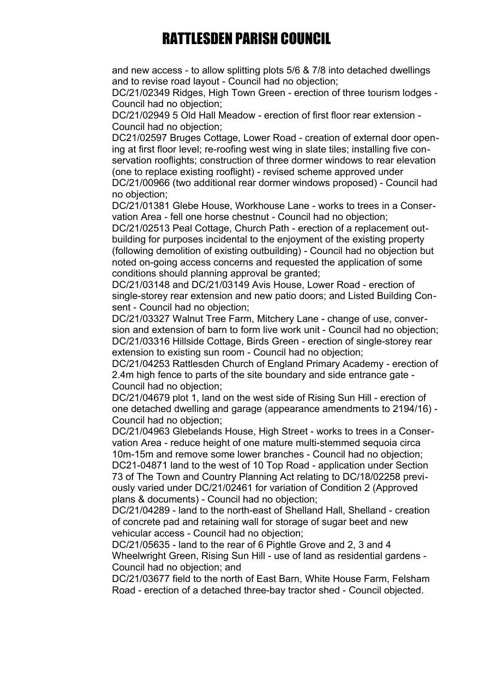and new access - to allow splitting plots 5/6 & 7/8 into detached dwellings and to revise road layout - Council had no objection;

DC/21/02349 Ridges, High Town Green - erection of three tourism lodges - Council had no objection;

DC/21/02949 5 Old Hall Meadow - erection of first floor rear extension - Council had no objection;

DC21/02597 Bruges Cottage, Lower Road - creation of external door opening at first floor level; re-roofing west wing in slate tiles; installing five conservation rooflights; construction of three dormer windows to rear elevation (one to replace existing rooflight) - revised scheme approved under

DC/21/00966 (two additional rear dormer windows proposed) - Council had no objection;

DC/21/01381 Glebe House, Workhouse Lane - works to trees in a Conservation Area - fell one horse chestnut - Council had no objection;

DC/21/02513 Peal Cottage, Church Path - erection of a replacement outbuilding for purposes incidental to the enjoyment of the existing property (following demolition of existing outbuilding) - Council had no objection but noted on-going access concerns and requested the application of some conditions should planning approval be granted;

DC/21/03148 and DC/21/03149 Avis House, Lower Road - erection of single-storey rear extension and new patio doors; and Listed Building Consent - Council had no objection;

DC/21/03327 Walnut Tree Farm, Mitchery Lane - change of use, conversion and extension of barn to form live work unit - Council had no objection; DC/21/03316 Hillside Cottage, Birds Green - erection of single-storey rear extension to existing sun room - Council had no objection;

DC/21/04253 Rattlesden Church of England Primary Academy - erection of 2.4m high fence to parts of the site boundary and side entrance gate - Council had no objection;

DC/21/04679 plot 1, land on the west side of Rising Sun Hill - erection of one detached dwelling and garage (appearance amendments to 2194/16) - Council had no objection;

DC/21/04963 Glebelands House, High Street - works to trees in a Conservation Area - reduce height of one mature multi-stemmed sequoia circa 10m-15m and remove some lower branches - Council had no objection; DC21-04871 land to the west of 10 Top Road - application under Section 73 of The Town and Country Planning Act relating to DC/18/02258 previously varied under DC/21/02461 for variation of Condition 2 (Approved plans & documents) - Council had no objection;

DC/21/04289 - land to the north-east of Shelland Hall, Shelland - creation of concrete pad and retaining wall for storage of sugar beet and new vehicular access - Council had no objection;

DC/21/05635 - land to the rear of 6 Pightle Grove and 2, 3 and 4 Wheelwright Green, Rising Sun Hill - use of land as residential gardens - Council had no objection; and

DC/21/03677 field to the north of East Barn, White House Farm, Felsham Road - erection of a detached three-bay tractor shed - Council objected.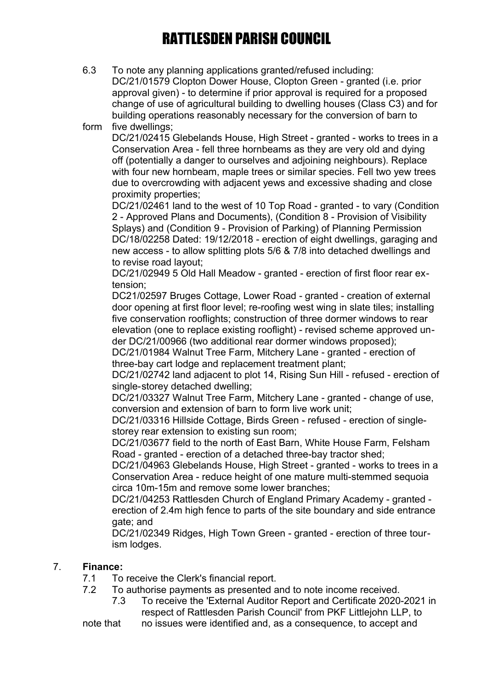- 6.3 To note any planning applications granted/refused including: DC/21/01579 Clopton Dower House, Clopton Green - granted (i.e. prior approval given) - to determine if prior approval is required for a proposed change of use of agricultural building to dwelling houses (Class C3) and for building operations reasonably necessary for the conversion of barn to
- form five dwellings;

DC/21/02415 Glebelands House, High Street - granted - works to trees in a Conservation Area - fell three hornbeams as they are very old and dying off (potentially a danger to ourselves and adjoining neighbours). Replace with four new hornbeam, maple trees or similar species. Fell two yew trees due to overcrowding with adjacent yews and excessive shading and close proximity properties;

DC/21/02461 land to the west of 10 Top Road - granted - to vary (Condition 2 - Approved Plans and Documents), (Condition 8 - Provision of Visibility Splays) and (Condition 9 - Provision of Parking) of Planning Permission DC/18/02258 Dated: 19/12/2018 - erection of eight dwellings, garaging and new access - to allow splitting plots 5/6 & 7/8 into detached dwellings and to revise road layout;

DC/21/02949 5 Old Hall Meadow - granted - erection of first floor rear extension;

DC21/02597 Bruges Cottage, Lower Road - granted - creation of external door opening at first floor level; re-roofing west wing in slate tiles; installing five conservation rooflights; construction of three dormer windows to rear elevation (one to replace existing rooflight) - revised scheme approved under DC/21/00966 (two additional rear dormer windows proposed);

DC/21/01984 Walnut Tree Farm, Mitchery Lane - granted - erection of three-bay cart lodge and replacement treatment plant;

DC/21/02742 land adjacent to plot 14, Rising Sun Hill - refused - erection of single-storey detached dwelling;

DC/21/03327 Walnut Tree Farm, Mitchery Lane - granted - change of use, conversion and extension of barn to form live work unit;

DC/21/03316 Hillside Cottage, Birds Green - refused - erection of singlestorey rear extension to existing sun room;

DC/21/03677 field to the north of East Barn, White House Farm, Felsham Road - granted - erection of a detached three-bay tractor shed;

DC/21/04963 Glebelands House, High Street - granted - works to trees in a Conservation Area - reduce height of one mature multi-stemmed sequoia circa 10m-15m and remove some lower branches;

DC/21/04253 Rattlesden Church of England Primary Academy - granted erection of 2.4m high fence to parts of the site boundary and side entrance gate; and

DC/21/02349 Ridges, High Town Green - granted - erection of three tourism lodges.

### 7. **Finance:**

- 7.1 To receive the Clerk's financial report.
- 7.2 To authorise payments as presented and to note income received.
	- 7.3 To receive the 'External Auditor Report and Certificate 2020-2021 in respect of Rattlesden Parish Council' from PKF Littlejohn LLP, to

note that no issues were identified and, as a consequence, to accept and